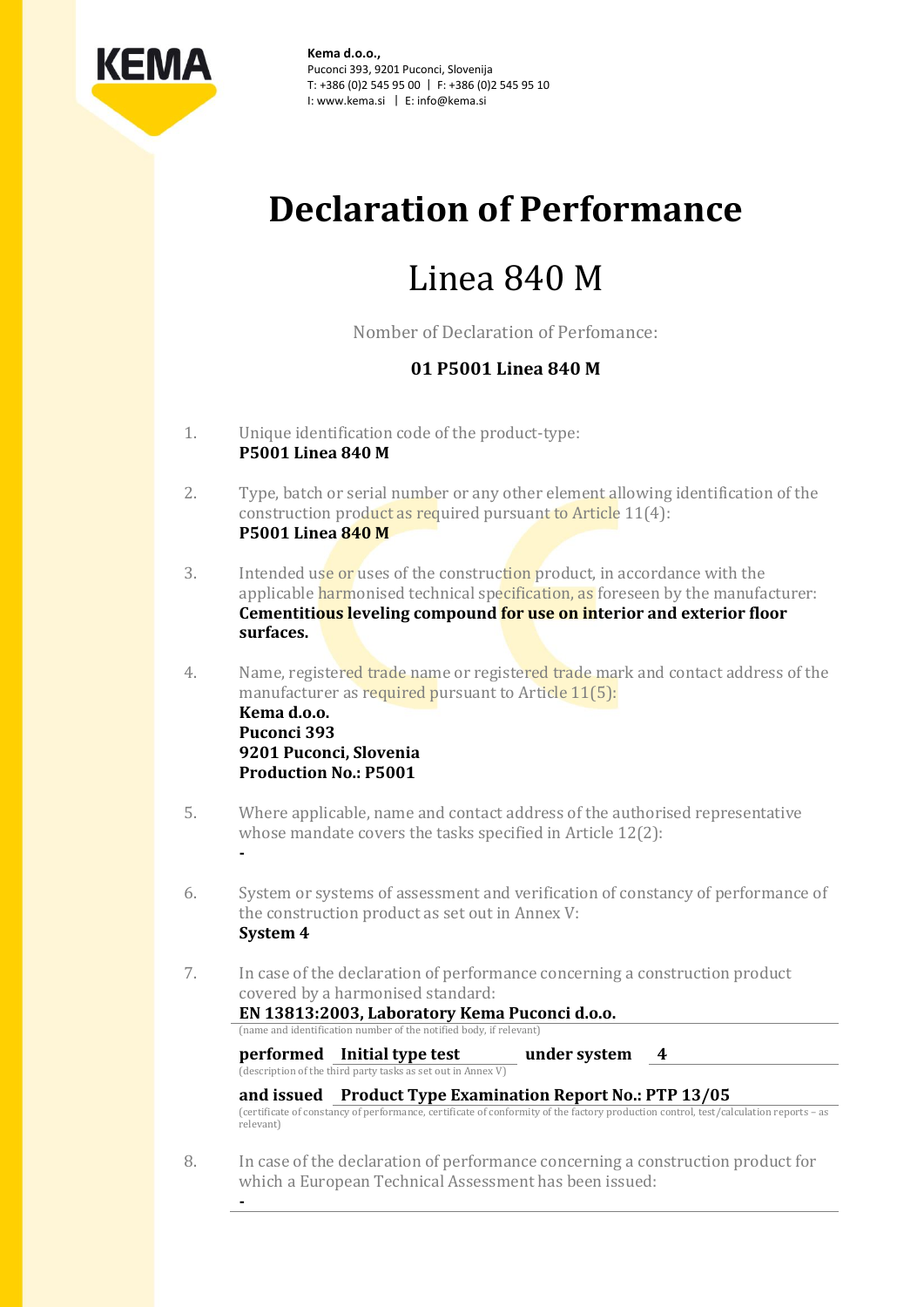

**Kema d.o.o.,** Puconci 393, 9201 Puconci, Slovenija T: +386 (0)2 545 95 00 | F: +386 (0)2 545 95 10 I: www.kema.si | E: info@kema.si

# **Declaration of Performance**

# Linea 840 M

Nomber of Declaration of Perfomance:

## **01 P5001 Linea 840 M**

- 1. Unique identification code of the product-type: **P5001 Linea 840 M**
- 2. Type, batch or serial number or any other element allowing identification of the construction product as required pursuant to Article 11(4): **P5001 Linea 840 M**
- 3. Intended use or uses of the construction product, in accordance with the applicable harmonised technical specification, as foreseen by the manufacturer: **Cementitious leveling compound for use on interior and exterior floor surfaces.**
- 4. Name, registered trade name or registered trade mark and contact address of the manufacturer as required pursuant to Article 11(5): **Kema d.o.o. Puconci 393 9201 Puconci, Slovenia Production No.: P5001**
- 5. Where applicable, name and contact address of the authorised representative whose mandate covers the tasks specified in Article 12(2):
- 6. System or systems of assessment and verification of constancy of performance of the construction product as set out in Annex V: **System 4**
- 7. In case of the declaration of performance concerning a construction product covered by a harmonised standard:

#### **EN 13813:2003, Laboratory Kema Puconci d.o.o.** (name and identification number of the notified body, if relevant)

**-**

**-**

**performed Initial type test under system 4** (description of the third party tasks as set out in Annex V)

### **and issued Product Type Examination Report No.: PTP 13/05**

(certificate of constancy of performance, certificate of conformity of the factory production control, test/calculation reports – as relevant)

8. In case of the declaration of performance concerning a construction product for which a European Technical Assessment has been issued: